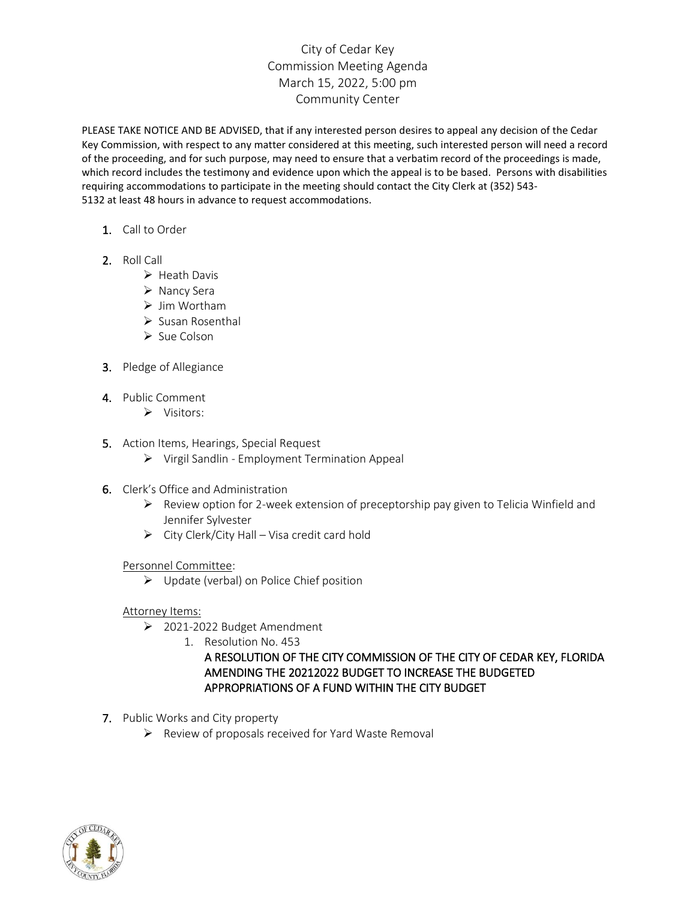# City of Cedar Key Commission Meeting Agenda March 15, 2022, 5:00 pm Community Center

PLEASE TAKE NOTICE AND BE ADVISED, that if any interested person desires to appeal any decision of the Cedar Key Commission, with respect to any matter considered at this meeting, such interested person will need a record of the proceeding, and for such purpose, may need to ensure that a verbatim record of the proceedings is made, which record includes the testimony and evidence upon which the appeal is to be based. Persons with disabilities requiring accommodations to participate in the meeting should contact the City Clerk at (352) 543- 5132 at least 48 hours in advance to request accommodations.

- 1. Call to Order
- 2. Roll Call
	- ➢ Heath Davis
	- ➢ Nancy Sera
	- ➢ Jim Wortham
	- ➢ Susan Rosenthal
	- ➢ Sue Colson
- 3. Pledge of Allegiance
- 4. Public Comment
	- ➢ Visitors:
- 5. Action Items, Hearings, Special Request
	- ➢ Virgil Sandlin Employment Termination Appeal
- 6. Clerk's Office and Administration
	- $\triangleright$  Review option for 2-week extension of preceptorship pay given to Telicia Winfield and Jennifer Sylvester
	- $\triangleright$  City Clerk/City Hall Visa credit card hold

#### Personnel Committee:

➢ Update (verbal) on Police Chief position

#### Attorney Items:

- ➢ 2021-2022 Budget Amendment
	- 1. Resolution No. 453

### A RESOLUTION OF THE CITY COMMISSION OF THE CITY OF CEDAR KEY, FLORIDA AMENDING THE 20212022 BUDGET TO INCREASE THE BUDGETED APPROPRIATIONS OF A FUND WITHIN THE CITY BUDGET

- 7. Public Works and City property
	- ➢ Review of proposals received for Yard Waste Removal